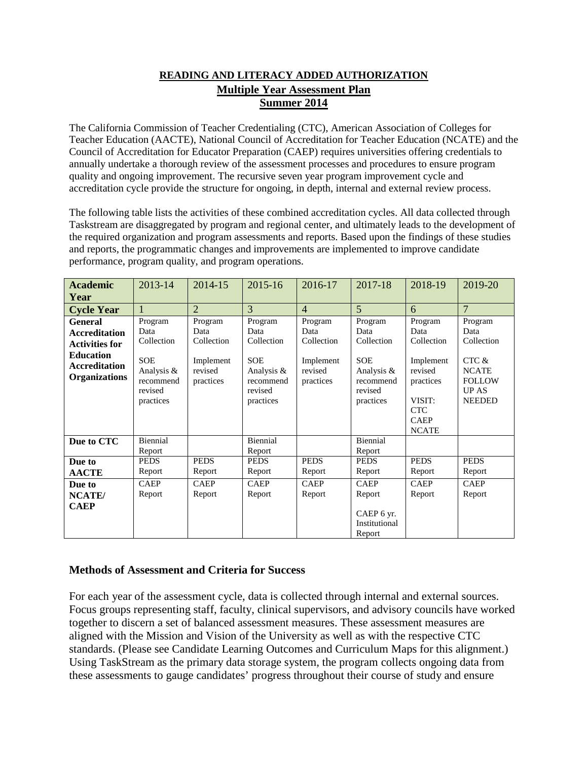#### **READING AND LITERACY ADDED AUTHORIZATION Multiple Year Assessment Plan Summer 2014**

The California Commission of Teacher Credentialing (CTC), American Association of Colleges for Teacher Education (AACTE), National Council of Accreditation for Teacher Education (NCATE) and the Council of Accreditation for Educator Preparation (CAEP) requires universities offering credentials to annually undertake a thorough review of the assessment processes and procedures to ensure program quality and ongoing improvement. The recursive seven year program improvement cycle and accreditation cycle provide the structure for ongoing, in depth, internal and external review process.

The following table lists the activities of these combined accreditation cycles. All data collected through Taskstream are disaggregated by program and regional center, and ultimately leads to the development of the required organization and program assessments and reports. Based upon the findings of these studies and reports, the programmatic changes and improvements are implemented to improve candidate performance, program quality, and program operations.

| <b>Academic</b><br>Year                                                                                                             | 2013-14                                                                                 | 2014-15                                                            | 2015-16                                                                                        | 2016-17                                                            | 2017-18                                                                                        | 2018-19                                                                                                                   | 2019-20                                                                                                      |
|-------------------------------------------------------------------------------------------------------------------------------------|-----------------------------------------------------------------------------------------|--------------------------------------------------------------------|------------------------------------------------------------------------------------------------|--------------------------------------------------------------------|------------------------------------------------------------------------------------------------|---------------------------------------------------------------------------------------------------------------------------|--------------------------------------------------------------------------------------------------------------|
| <b>Cycle Year</b>                                                                                                                   |                                                                                         | $\overline{2}$                                                     | 3                                                                                              | $\overline{4}$                                                     | $\overline{5}$                                                                                 | 6                                                                                                                         | $\overline{7}$                                                                                               |
| <b>General</b><br><b>Accreditation</b><br><b>Activities for</b><br><b>Education</b><br><b>Accreditation</b><br><b>Organizations</b> | Program<br>Data<br>Collection<br>SOE<br>Analysis &<br>recommend<br>revised<br>practices | Program<br>Data<br>Collection<br>Implement<br>revised<br>practices | Program<br>Data<br>Collection<br><b>SOE</b><br>Analysis &<br>recommend<br>revised<br>practices | Program<br>Data<br>Collection<br>Implement<br>revised<br>practices | Program<br>Data<br>Collection<br><b>SOE</b><br>Analysis &<br>recommend<br>revised<br>practices | Program<br>Data<br>Collection<br>Implement<br>revised<br>practices<br>VISIT:<br><b>CTC</b><br><b>CAEP</b><br><b>NCATE</b> | Program<br>Data<br>Collection<br>$CTC$ $\&$<br><b>NCATE</b><br><b>FOLLOW</b><br><b>UPAS</b><br><b>NEEDED</b> |
| Due to CTC                                                                                                                          | Biennial<br>Report                                                                      |                                                                    | Biennial<br>Report                                                                             |                                                                    | Biennial<br>Report                                                                             |                                                                                                                           |                                                                                                              |
| Due to<br><b>AACTE</b>                                                                                                              | <b>PEDS</b><br>Report                                                                   | <b>PEDS</b><br>Report                                              | <b>PEDS</b><br>Report                                                                          | <b>PEDS</b><br>Report                                              | <b>PEDS</b><br>Report                                                                          | <b>PEDS</b><br>Report                                                                                                     | <b>PEDS</b><br>Report                                                                                        |
| Due to<br>NCATE/<br><b>CAEP</b>                                                                                                     | <b>CAEP</b><br>Report                                                                   | <b>CAEP</b><br>Report                                              | <b>CAEP</b><br>Report                                                                          | <b>CAEP</b><br>Report                                              | <b>CAEP</b><br>Report<br>CAEP 6 yr.<br>Institutional<br>Report                                 | <b>CAEP</b><br>Report                                                                                                     | <b>CAEP</b><br>Report                                                                                        |

#### **Methods of Assessment and Criteria for Success**

For each year of the assessment cycle, data is collected through internal and external sources. Focus groups representing staff, faculty, clinical supervisors, and advisory councils have worked together to discern a set of balanced assessment measures. These assessment measures are aligned with the Mission and Vision of the University as well as with the respective CTC standards. (Please see Candidate Learning Outcomes and Curriculum Maps for this alignment.) Using TaskStream as the primary data storage system, the program collects ongoing data from these assessments to gauge candidates' progress throughout their course of study and ensure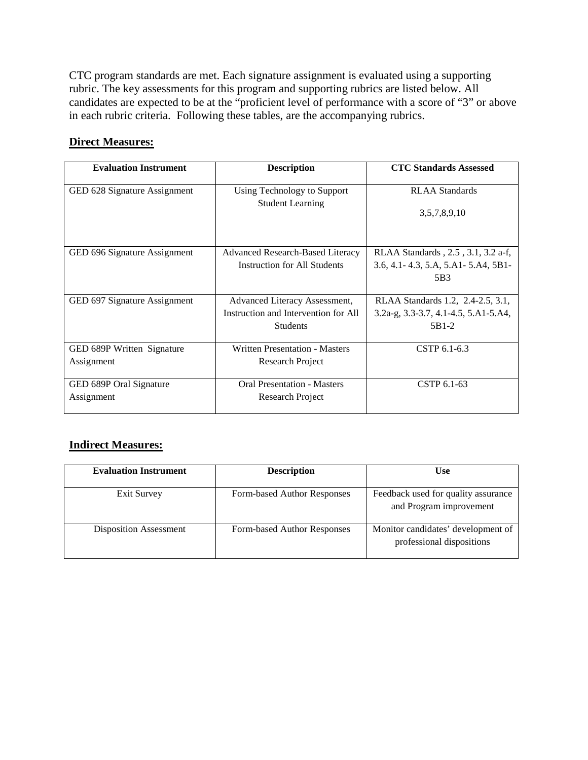CTC program standards are met. Each signature assignment is evaluated using a supporting rubric. The key assessments for this program and supporting rubrics are listed below. All candidates are expected to be at the "proficient level of performance with a score of "3" or above in each rubric criteria. Following these tables, are the accompanying rubrics.

#### **Direct Measures:**

| <b>Evaluation Instrument</b> | <b>Description</b>                    | <b>CTC Standards Assessed</b>             |
|------------------------------|---------------------------------------|-------------------------------------------|
| GED 628 Signature Assignment | Using Technology to Support           | <b>RLAA</b> Standards                     |
|                              | <b>Student Learning</b>               | 3,5,7,8,9,10                              |
|                              |                                       |                                           |
| GED 696 Signature Assignment | Advanced Research-Based Literacy      | RLAA Standards, 2.5, 3.1, 3.2 a-f,        |
|                              | <b>Instruction for All Students</b>   | $3.6, 4.1 - 4.3, 5.A, 5.A1 - 5.A4, 5B1 -$ |
|                              |                                       | 5 <sub>B</sub> 3                          |
|                              |                                       |                                           |
| GED 697 Signature Assignment | Advanced Literacy Assessment,         | RLAA Standards 1.2, 2.4-2.5, 3.1,         |
|                              | Instruction and Intervention for All  | 3.2a-g, 3.3-3.7, 4.1-4.5, 5.A1-5.A4,      |
|                              | <b>Students</b>                       | 5B1-2                                     |
|                              |                                       |                                           |
| GED 689P Written Signature   | <b>Written Presentation - Masters</b> | CSTP 6.1-6.3                              |
| Assignment                   | Research Project                      |                                           |
|                              |                                       |                                           |
| GED 689P Oral Signature      | <b>Oral Presentation - Masters</b>    | CSTP 6.1-63                               |
| Assignment                   | Research Project                      |                                           |
|                              |                                       |                                           |

#### **Indirect Measures:**

| <b>Evaluation Instrument</b>  | <b>Description</b>          | <b>Use</b>                                                      |  |
|-------------------------------|-----------------------------|-----------------------------------------------------------------|--|
| Exit Survey                   | Form-based Author Responses | Feedback used for quality assurance<br>and Program improvement  |  |
| <b>Disposition Assessment</b> | Form-based Author Responses | Monitor candidates' development of<br>professional dispositions |  |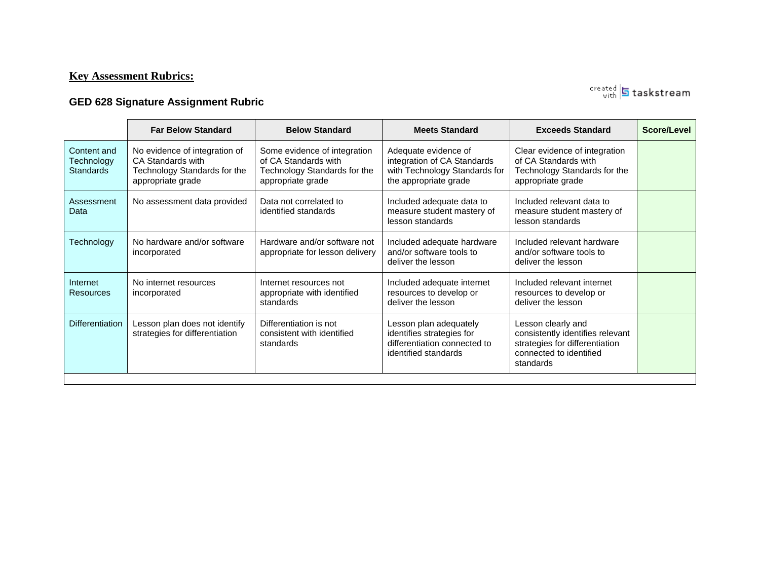# **Key Assessment Rubrics:**

# **GED 628 Signature Assignment Rubric**

|                                               | <b>Far Below Standard</b>                                                                               | <b>Below Standard</b>                                                                                     | <b>Meets Standard</b>                                                                                         | <b>Exceeds Standard</b>                                                                                                          | Score/Level |
|-----------------------------------------------|---------------------------------------------------------------------------------------------------------|-----------------------------------------------------------------------------------------------------------|---------------------------------------------------------------------------------------------------------------|----------------------------------------------------------------------------------------------------------------------------------|-------------|
| Content and<br>Technology<br><b>Standards</b> | No evidence of integration of<br>CA Standards with<br>Technology Standards for the<br>appropriate grade | Some evidence of integration<br>of CA Standards with<br>Technology Standards for the<br>appropriate grade | Adequate evidence of<br>integration of CA Standards<br>with Technology Standards for<br>the appropriate grade | Clear evidence of integration<br>of CA Standards with<br>Technology Standards for the<br>appropriate grade                       |             |
| Assessment<br>Data                            | No assessment data provided                                                                             | Data not correlated to<br>identified standards                                                            | Included adequate data to<br>measure student mastery of<br>lesson standards                                   | Included relevant data to<br>measure student mastery of<br>lesson standards                                                      |             |
| Technology                                    | No hardware and/or software<br>incorporated                                                             | Hardware and/or software not<br>appropriate for lesson delivery                                           | Included adequate hardware<br>and/or software tools to<br>deliver the lesson                                  | Included relevant hardware<br>and/or software tools to<br>deliver the lesson                                                     |             |
| Internet<br>Resources                         | No internet resources<br>incorporated                                                                   | Internet resources not<br>appropriate with identified<br>standards                                        | Included adequate internet<br>resources to develop or<br>deliver the lesson                                   | Included relevant internet<br>resources to develop or<br>deliver the lesson                                                      |             |
| <b>Differentiation</b>                        | Lesson plan does not identify<br>strategies for differentiation                                         | Differentiation is not<br>consistent with identified<br>standards                                         | Lesson plan adequately<br>identifies strategies for<br>differentiation connected to<br>identified standards   | Lesson clearly and<br>consistently identifies relevant<br>strategies for differentiation<br>connected to identified<br>standards |             |

created **5** taskstream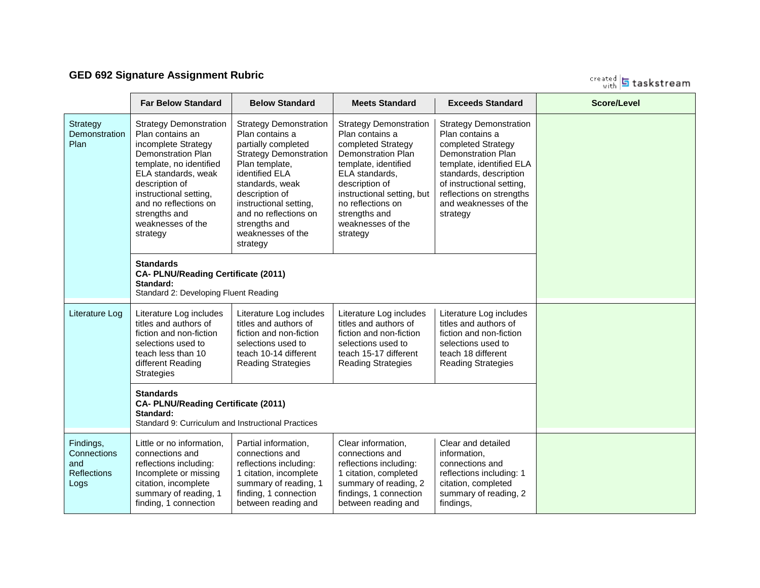# **GED 692 Signature Assignment Rubric**

created **5** taskstream

|                                                               | <b>Far Below Standard</b>                                                                                                                                                                                                                                                                                                                       | <b>Below Standard</b>                                                                                                                                                                                                                                                                  | <b>Meets Standard</b>                                                                                                                                                                                                                                         | <b>Exceeds Standard</b>                                                                                                                                                                                                                                 | <b>Score/Level</b> |
|---------------------------------------------------------------|-------------------------------------------------------------------------------------------------------------------------------------------------------------------------------------------------------------------------------------------------------------------------------------------------------------------------------------------------|----------------------------------------------------------------------------------------------------------------------------------------------------------------------------------------------------------------------------------------------------------------------------------------|---------------------------------------------------------------------------------------------------------------------------------------------------------------------------------------------------------------------------------------------------------------|---------------------------------------------------------------------------------------------------------------------------------------------------------------------------------------------------------------------------------------------------------|--------------------|
| Strategy<br>Demonstration<br>Plan                             | <b>Strategy Demonstration</b><br>Plan contains an<br>incomplete Strategy<br>Demonstration Plan<br>template, no identified<br>ELA standards, weak<br>description of<br>instructional setting,<br>and no reflections on<br>strengths and<br>weaknesses of the<br>strategy<br><b>Standards</b><br>CA- PLNU/Reading Certificate (2011)<br>Standard: | <b>Strategy Demonstration</b><br>Plan contains a<br>partially completed<br><b>Strategy Demonstration</b><br>Plan template,<br>identified ELA<br>standards, weak<br>description of<br>instructional setting,<br>and no reflections on<br>strengths and<br>weaknesses of the<br>strategy | <b>Strategy Demonstration</b><br>Plan contains a<br>completed Strategy<br>Demonstration Plan<br>template, identified<br>ELA standards,<br>description of<br>instructional setting, but<br>no reflections on<br>strengths and<br>weaknesses of the<br>strategy | <b>Strategy Demonstration</b><br>Plan contains a<br>completed Strategy<br><b>Demonstration Plan</b><br>template, identified ELA<br>standards, description<br>of instructional setting,<br>reflections on strengths<br>and weaknesses of the<br>strategy |                    |
|                                                               | Standard 2: Developing Fluent Reading                                                                                                                                                                                                                                                                                                           |                                                                                                                                                                                                                                                                                        |                                                                                                                                                                                                                                                               |                                                                                                                                                                                                                                                         |                    |
| Literature Log                                                | Literature Log includes<br>titles and authors of<br>fiction and non-fiction<br>selections used to<br>teach less than 10<br>different Reading<br><b>Strategies</b>                                                                                                                                                                               | Literature Log includes<br>titles and authors of<br>fiction and non-fiction<br>selections used to<br>teach 10-14 different<br><b>Reading Strategies</b>                                                                                                                                | Literature Log includes<br>titles and authors of<br>fiction and non-fiction<br>selections used to<br>teach 15-17 different<br><b>Reading Strategies</b>                                                                                                       | Literature Log includes<br>titles and authors of<br>fiction and non-fiction<br>selections used to<br>teach 18 different<br><b>Reading Strategies</b>                                                                                                    |                    |
|                                                               | <b>Standards</b><br>CA- PLNU/Reading Certificate (2011)<br>Standard:<br>Standard 9: Curriculum and Instructional Practices                                                                                                                                                                                                                      |                                                                                                                                                                                                                                                                                        |                                                                                                                                                                                                                                                               |                                                                                                                                                                                                                                                         |                    |
| Findings,<br>Connections<br>and<br><b>Reflections</b><br>Logs | Little or no information,<br>connections and<br>reflections including:<br>Incomplete or missing<br>citation, incomplete<br>summary of reading, 1<br>finding, 1 connection                                                                                                                                                                       | Partial information,<br>connections and<br>reflections including:<br>1 citation, incomplete<br>summary of reading, 1<br>finding, 1 connection<br>between reading and                                                                                                                   | Clear information,<br>connections and<br>reflections including:<br>1 citation, completed<br>summary of reading, 2<br>findings, 1 connection<br>between reading and                                                                                            | Clear and detailed<br>information,<br>connections and<br>reflections including: 1<br>citation, completed<br>summary of reading, 2<br>findings,                                                                                                          |                    |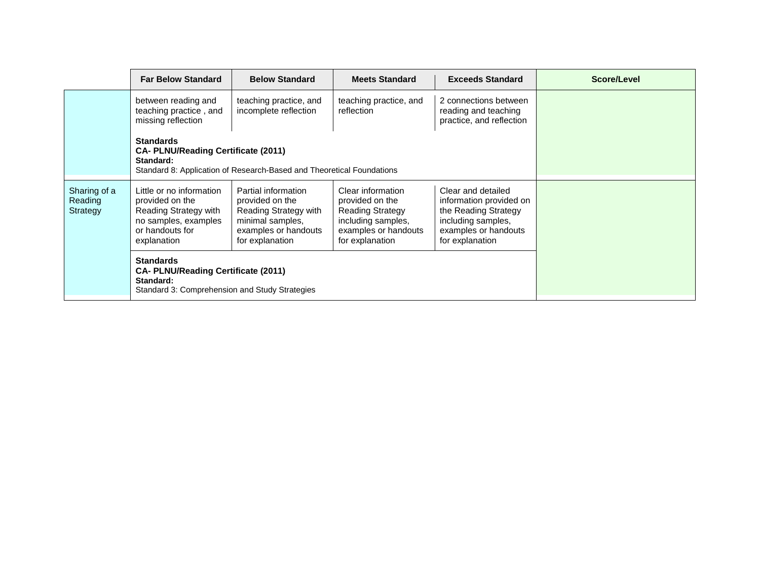|                                     | <b>Far Below Standard</b>                                                                                                      | <b>Below Standard</b>                                                                                                          | <b>Meets Standard</b>                                                                                                            | <b>Exceeds Standard</b>                                                                                                                | Score/Level |
|-------------------------------------|--------------------------------------------------------------------------------------------------------------------------------|--------------------------------------------------------------------------------------------------------------------------------|----------------------------------------------------------------------------------------------------------------------------------|----------------------------------------------------------------------------------------------------------------------------------------|-------------|
|                                     | between reading and<br>teaching practice, and<br>missing reflection                                                            | teaching practice, and<br>incomplete reflection                                                                                | teaching practice, and<br>reflection                                                                                             | 2 connections between<br>reading and teaching<br>practice, and reflection                                                              |             |
|                                     | <b>Standards</b><br><b>CA- PLNU/Reading Certificate (2011)</b><br>Standard:                                                    | Standard 8: Application of Research-Based and Theoretical Foundations                                                          |                                                                                                                                  |                                                                                                                                        |             |
| Sharing of a<br>Reading<br>Strategy | Little or no information<br>provided on the<br>Reading Strategy with<br>no samples, examples<br>or handouts for<br>explanation | Partial information<br>provided on the<br>Reading Strategy with<br>minimal samples,<br>examples or handouts<br>for explanation | Clear information<br>provided on the<br><b>Reading Strategy</b><br>including samples,<br>examples or handouts<br>for explanation | Clear and detailed<br>information provided on<br>the Reading Strategy<br>including samples,<br>examples or handouts<br>for explanation |             |
|                                     | <b>Standards</b><br><b>CA- PLNU/Reading Certificate (2011)</b><br>Standard:<br>Standard 3: Comprehension and Study Strategies  |                                                                                                                                |                                                                                                                                  |                                                                                                                                        |             |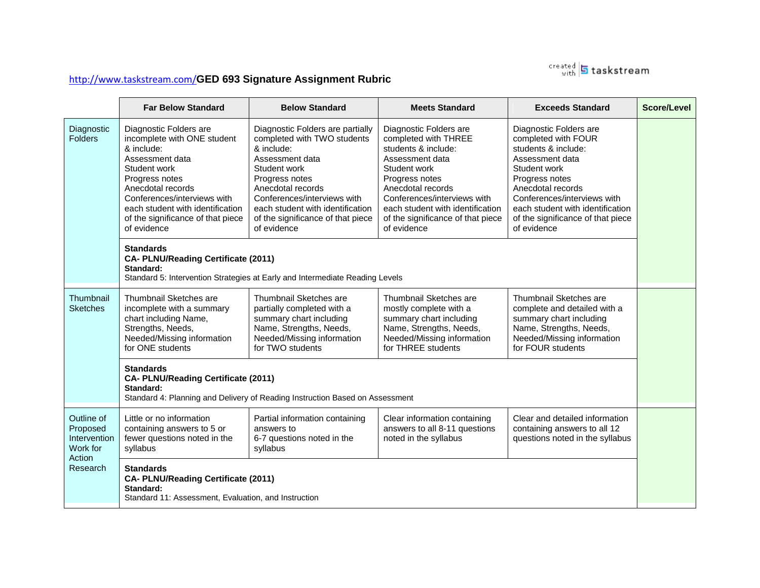

# <http://www.taskstream.com/>**GED 693 Signature Assignment Rubric**

|                                                    | <b>Far Below Standard</b>                                                                                                                                                                                                                                                                                                                    | <b>Below Standard</b>                                                                                                                                                                                                                                                                                                                                          | <b>Meets Standard</b>                                                                                                                                                                                                                                                  | <b>Exceeds Standard</b>                                                                                                                                                                                                                                               | Score/Level |
|----------------------------------------------------|----------------------------------------------------------------------------------------------------------------------------------------------------------------------------------------------------------------------------------------------------------------------------------------------------------------------------------------------|----------------------------------------------------------------------------------------------------------------------------------------------------------------------------------------------------------------------------------------------------------------------------------------------------------------------------------------------------------------|------------------------------------------------------------------------------------------------------------------------------------------------------------------------------------------------------------------------------------------------------------------------|-----------------------------------------------------------------------------------------------------------------------------------------------------------------------------------------------------------------------------------------------------------------------|-------------|
| Diagnostic<br><b>Folders</b>                       | Diagnostic Folders are<br>incomplete with ONE student<br>& include:<br>Assessment data<br>Student work<br>Progress notes<br>Anecdotal records<br>Conferences/interviews with<br>each student with identification<br>of the significance of that piece<br>of evidence<br><b>Standards</b><br>CA- PLNU/Reading Certificate (2011)<br>Standard: | Diagnostic Folders are partially<br>completed with TWO students<br>& include:<br>Assessment data<br>Student work<br>Progress notes<br>Anecdotal records<br>Conferences/interviews with<br>each student with identification<br>of the significance of that piece<br>of evidence<br>Standard 5: Intervention Strategies at Early and Intermediate Reading Levels | Diagnostic Folders are<br>completed with THREE<br>students & include:<br>Assessment data<br>Student work<br>Progress notes<br>Anecdotal records<br>Conferences/interviews with<br>each student with identification<br>of the significance of that piece<br>of evidence | Diagnostic Folders are<br>completed with FOUR<br>students & include:<br>Assessment data<br>Student work<br>Progress notes<br>Anecdotal records<br>Conferences/interviews with<br>each student with identification<br>of the significance of that piece<br>of evidence |             |
| Thumbnail<br><b>Sketches</b>                       | Thumbnail Sketches are<br>incomplete with a summary<br>chart including Name,<br>Strengths, Needs,<br>Needed/Missing information<br>for ONE students                                                                                                                                                                                          | Thumbnail Sketches are<br>partially completed with a<br>summary chart including<br>Name, Strengths, Needs,<br>Needed/Missing information<br>for TWO students                                                                                                                                                                                                   | Thumbnail Sketches are<br>mostly complete with a<br>summary chart including<br>Name, Strengths, Needs,<br>Needed/Missing information<br>for THREE students                                                                                                             | Thumbnail Sketches are<br>complete and detailed with a<br>summary chart including<br>Name, Strengths, Needs,<br>Needed/Missing information<br>for FOUR students                                                                                                       |             |
|                                                    | <b>Standards</b><br>CA- PLNU/Reading Certificate (2011)<br>Standard:<br>Standard 4: Planning and Delivery of Reading Instruction Based on Assessment                                                                                                                                                                                         |                                                                                                                                                                                                                                                                                                                                                                |                                                                                                                                                                                                                                                                        |                                                                                                                                                                                                                                                                       |             |
| Outline of<br>Proposed<br>Intervention<br>Work for | Little or no information<br>containing answers to 5 or<br>fewer questions noted in the<br>syllabus                                                                                                                                                                                                                                           | Partial information containing<br>answers to<br>6-7 questions noted in the<br>syllabus                                                                                                                                                                                                                                                                         | Clear information containing<br>answers to all 8-11 questions<br>noted in the syllabus                                                                                                                                                                                 | Clear and detailed information<br>containing answers to all 12<br>questions noted in the syllabus                                                                                                                                                                     |             |
| Action<br>Research                                 | <b>Standards</b><br>CA- PLNU/Reading Certificate (2011)<br>Standard:<br>Standard 11: Assessment, Evaluation, and Instruction                                                                                                                                                                                                                 |                                                                                                                                                                                                                                                                                                                                                                |                                                                                                                                                                                                                                                                        |                                                                                                                                                                                                                                                                       |             |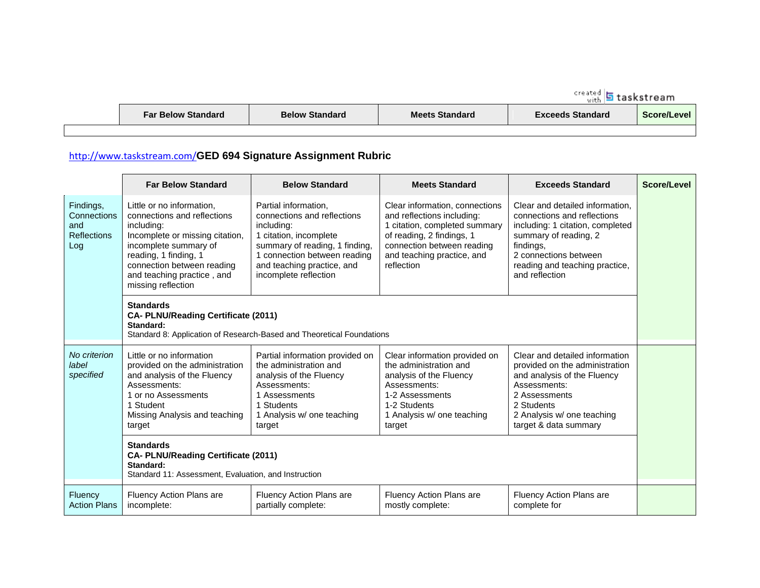| <b>Far Below Standard</b> |  |
|---------------------------|--|
|---------------------------|--|

### <http://www.taskstream.com/>**GED 694 Signature Assignment Rubric**

|                                                              | <b>Far Below Standard</b>                                                                                                                                                                                                                     | <b>Below Standard</b>                                                                                                                                                                                                | <b>Meets Standard</b>                                                                                                                                                                                | <b>Exceeds Standard</b>                                                                                                                                                                                               | Score/Level |  |
|--------------------------------------------------------------|-----------------------------------------------------------------------------------------------------------------------------------------------------------------------------------------------------------------------------------------------|----------------------------------------------------------------------------------------------------------------------------------------------------------------------------------------------------------------------|------------------------------------------------------------------------------------------------------------------------------------------------------------------------------------------------------|-----------------------------------------------------------------------------------------------------------------------------------------------------------------------------------------------------------------------|-------------|--|
| Findings,<br>Connections<br>and<br><b>Reflections</b><br>Log | Little or no information,<br>connections and reflections<br>including:<br>Incomplete or missing citation,<br>incomplete summary of<br>reading, 1 finding, 1<br>connection between reading<br>and teaching practice, and<br>missing reflection | Partial information.<br>connections and reflections<br>including:<br>1 citation, incomplete<br>summary of reading, 1 finding,<br>1 connection between reading<br>and teaching practice, and<br>incomplete reflection | Clear information, connections<br>and reflections including:<br>1 citation, completed summary<br>of reading, 2 findings, 1<br>connection between reading<br>and teaching practice, and<br>reflection | Clear and detailed information.<br>connections and reflections<br>including: 1 citation, completed<br>summary of reading, 2<br>findings,<br>2 connections between<br>reading and teaching practice,<br>and reflection |             |  |
|                                                              | <b>Standards</b><br><b>CA- PLNU/Reading Certificate (2011)</b><br>Standard:<br>Standard 8: Application of Research-Based and Theoretical Foundations                                                                                          |                                                                                                                                                                                                                      |                                                                                                                                                                                                      |                                                                                                                                                                                                                       |             |  |
| No criterion<br>label<br>specified                           | Little or no information<br>provided on the administration<br>and analysis of the Fluency<br>Assessments:<br>1 or no Assessments<br>1 Student<br>Missing Analysis and teaching<br>target                                                      | Partial information provided on<br>the administration and<br>analysis of the Fluency<br>Assessments:<br>1 Assessments<br>1 Students<br>1 Analysis w/ one teaching<br>target                                          | Clear information provided on<br>the administration and<br>analysis of the Fluency<br>Assessments:<br>1-2 Assessments<br>1-2 Students<br>1 Analysis w/ one teaching<br>target                        | Clear and detailed information<br>provided on the administration<br>and analysis of the Fluency<br>Assessments:<br>2 Assessments<br>2 Students<br>2 Analysis w/ one teaching<br>target & data summary                 |             |  |
|                                                              | <b>Standards</b><br>CA- PLNU/Reading Certificate (2011)<br>Standard:<br>Standard 11: Assessment, Evaluation, and Instruction                                                                                                                  |                                                                                                                                                                                                                      |                                                                                                                                                                                                      |                                                                                                                                                                                                                       |             |  |
| Fluency<br><b>Action Plans</b>                               | <b>Fluency Action Plans are</b><br>incomplete:                                                                                                                                                                                                | Fluency Action Plans are<br>partially complete:                                                                                                                                                                      | Fluency Action Plans are<br>mostly complete:                                                                                                                                                         | Fluency Action Plans are<br>complete for                                                                                                                                                                              |             |  |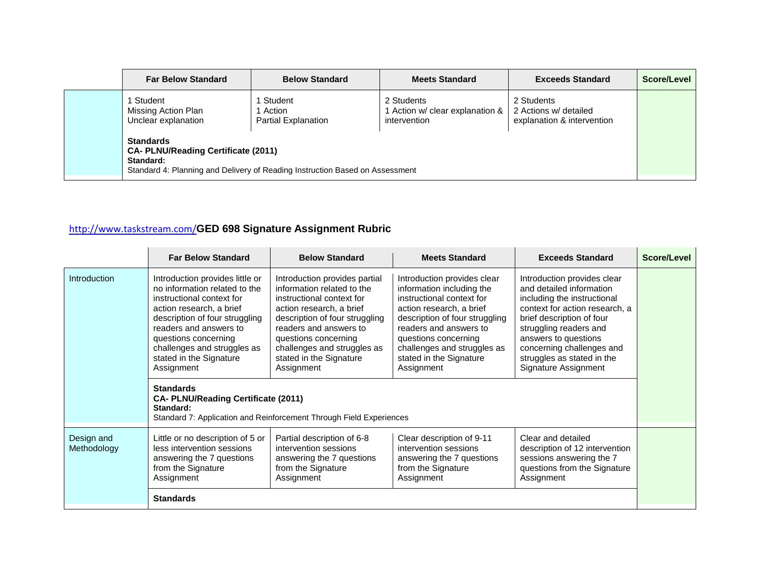| <b>Far Below Standard</b>                                                                                                                                   | <b>Below Standard</b>                             | <b>Meets Standard</b>                                       | <b>Exceeds Standard</b>                                           | Score/Level |  |
|-------------------------------------------------------------------------------------------------------------------------------------------------------------|---------------------------------------------------|-------------------------------------------------------------|-------------------------------------------------------------------|-------------|--|
| ∣ Student<br>Missing Action Plan<br>Unclear explanation                                                                                                     | Student<br>l Action<br><b>Partial Explanation</b> | 2 Students<br>Action w/ clear explanation &<br>intervention | 2 Students<br>2 Actions w/ detailed<br>explanation & intervention |             |  |
| <b>Standards</b><br><b>CA- PLNU/Reading Certificate (2011)</b><br>Standard:<br>Standard 4: Planning and Delivery of Reading Instruction Based on Assessment |                                                   |                                                             |                                                                   |             |  |

# <http://www.taskstream.com/>**GED 698 Signature Assignment Rubric**

|                           | <b>Far Below Standard</b>                                                                                                                                                                                                                                                                                                                                     | <b>Below Standard</b>                                                                                                                                                                                                                                                                                                                                   | <b>Meets Standard</b>                                                                                                                                                                                                                                                         | <b>Exceeds Standard</b>                                                                                                                                                                                                                                                                    | Score/Level |
|---------------------------|---------------------------------------------------------------------------------------------------------------------------------------------------------------------------------------------------------------------------------------------------------------------------------------------------------------------------------------------------------------|---------------------------------------------------------------------------------------------------------------------------------------------------------------------------------------------------------------------------------------------------------------------------------------------------------------------------------------------------------|-------------------------------------------------------------------------------------------------------------------------------------------------------------------------------------------------------------------------------------------------------------------------------|--------------------------------------------------------------------------------------------------------------------------------------------------------------------------------------------------------------------------------------------------------------------------------------------|-------------|
| Introduction              | Introduction provides little or<br>no information related to the<br>instructional context for<br>action research, a brief<br>description of four struggling<br>readers and answers to<br>questions concerning<br>challenges and struggles as<br>stated in the Signature<br>Assignment<br><b>Standards</b><br>CA- PLNU/Reading Certificate (2011)<br>Standard: | Introduction provides partial<br>information related to the<br>instructional context for<br>action research, a brief<br>description of four struggling<br>readers and answers to<br>questions concerning<br>challenges and struggles as<br>stated in the Signature<br>Assignment<br>Standard 7: Application and Reinforcement Through Field Experiences | Introduction provides clear<br>information including the<br>instructional context for<br>action research, a brief<br>description of four struggling<br>readers and answers to<br>questions concerning<br>challenges and struggles as<br>stated in the Signature<br>Assignment | Introduction provides clear<br>and detailed information<br>including the instructional<br>context for action research, a<br>brief description of four<br>struggling readers and<br>answers to questions<br>concerning challenges and<br>struggles as stated in the<br>Signature Assignment |             |
| Design and<br>Methodology | Little or no description of 5 or<br>less intervention sessions<br>answering the 7 questions<br>from the Signature<br>Assignment<br><b>Standards</b>                                                                                                                                                                                                           | Partial description of 6-8<br>intervention sessions<br>answering the 7 questions<br>from the Signature<br>Assignment                                                                                                                                                                                                                                    | Clear description of 9-11<br>intervention sessions<br>answering the 7 questions<br>from the Signature<br>Assignment                                                                                                                                                           | Clear and detailed<br>description of 12 intervention<br>sessions answering the 7<br>questions from the Signature<br>Assignment                                                                                                                                                             |             |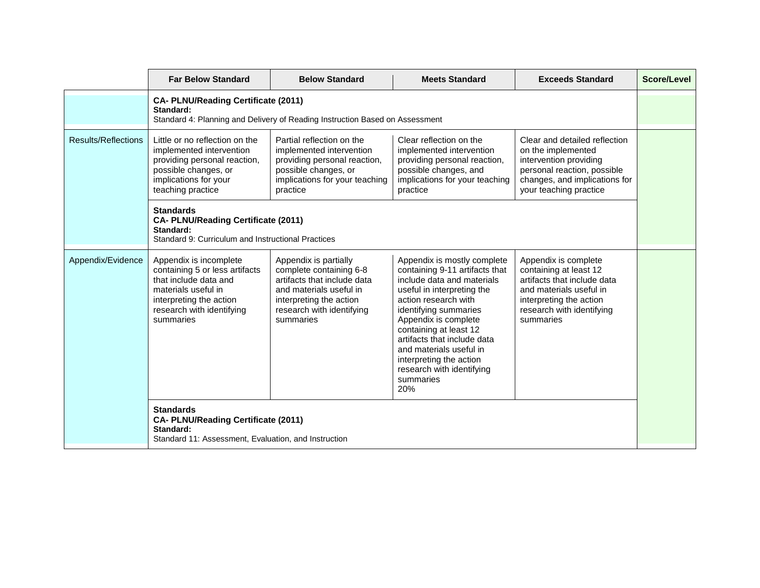|                     | <b>Far Below Standard</b>                                                                                                                                                     | <b>Below Standard</b>                                                                                                                                                           | <b>Meets Standard</b>                                                                                                                                                                                                                                                                                                                                              | <b>Exceeds Standard</b>                                                                                                                                                       | Score/Level |
|---------------------|-------------------------------------------------------------------------------------------------------------------------------------------------------------------------------|---------------------------------------------------------------------------------------------------------------------------------------------------------------------------------|--------------------------------------------------------------------------------------------------------------------------------------------------------------------------------------------------------------------------------------------------------------------------------------------------------------------------------------------------------------------|-------------------------------------------------------------------------------------------------------------------------------------------------------------------------------|-------------|
|                     | <b>CA- PLNU/Reading Certificate (2011)</b><br>Standard:                                                                                                                       | Standard 4: Planning and Delivery of Reading Instruction Based on Assessment                                                                                                    |                                                                                                                                                                                                                                                                                                                                                                    |                                                                                                                                                                               |             |
| Results/Reflections | Little or no reflection on the<br>implemented intervention<br>providing personal reaction,<br>possible changes, or<br>implications for your<br>teaching practice              | Partial reflection on the<br>implemented intervention<br>providing personal reaction,<br>possible changes, or<br>implications for your teaching<br>practice                     | Clear reflection on the<br>implemented intervention<br>providing personal reaction,<br>possible changes, and<br>implications for your teaching<br>practice                                                                                                                                                                                                         | Clear and detailed reflection<br>on the implemented<br>intervention providing<br>personal reaction, possible<br>changes, and implications for<br>your teaching practice       |             |
|                     | <b>Standards</b><br><b>CA- PLNU/Reading Certificate (2011)</b><br>Standard:<br>Standard 9: Curriculum and Instructional Practices                                             |                                                                                                                                                                                 |                                                                                                                                                                                                                                                                                                                                                                    |                                                                                                                                                                               |             |
| Appendix/Evidence   | Appendix is incomplete<br>containing 5 or less artifacts<br>that include data and<br>materials useful in<br>interpreting the action<br>research with identifying<br>summaries | Appendix is partially<br>complete containing 6-8<br>artifacts that include data<br>and materials useful in<br>interpreting the action<br>research with identifying<br>summaries | Appendix is mostly complete<br>containing 9-11 artifacts that<br>include data and materials<br>useful in interpreting the<br>action research with<br>identifying summaries<br>Appendix is complete<br>containing at least 12<br>artifacts that include data<br>and materials useful in<br>interpreting the action<br>research with identifying<br>summaries<br>20% | Appendix is complete<br>containing at least 12<br>artifacts that include data<br>and materials useful in<br>interpreting the action<br>research with identifying<br>summaries |             |
|                     | <b>Standards</b><br>CA- PLNU/Reading Certificate (2011)<br>Standard:<br>Standard 11: Assessment, Evaluation, and Instruction                                                  |                                                                                                                                                                                 |                                                                                                                                                                                                                                                                                                                                                                    |                                                                                                                                                                               |             |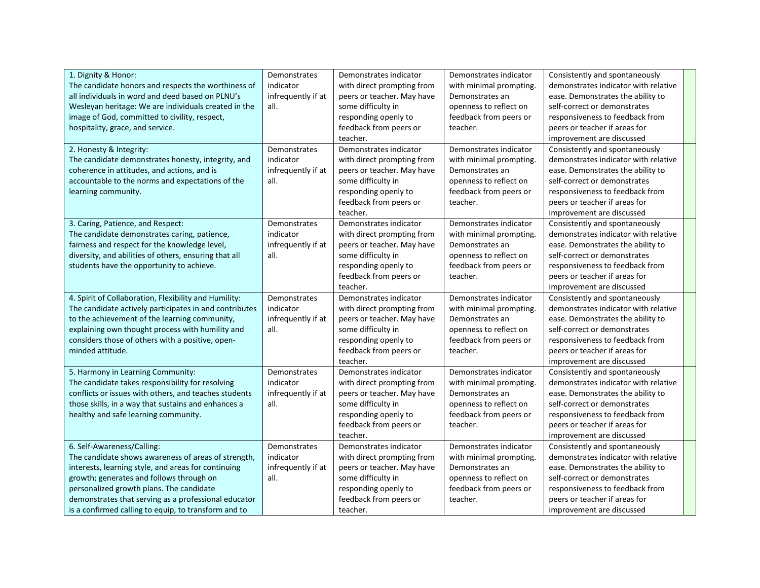| 1. Dignity & Honor:                                    | Demonstrates       | Demonstrates indicator     | Demonstrates indicator  | Consistently and spontaneously       |  |
|--------------------------------------------------------|--------------------|----------------------------|-------------------------|--------------------------------------|--|
| The candidate honors and respects the worthiness of    | indicator          | with direct prompting from | with minimal prompting. | demonstrates indicator with relative |  |
| all individuals in word and deed based on PLNU's       | infrequently if at | peers or teacher. May have | Demonstrates an         | ease. Demonstrates the ability to    |  |
| Wesleyan heritage: We are individuals created in the   | all.               | some difficulty in         | openness to reflect on  | self-correct or demonstrates         |  |
| image of God, committed to civility, respect,          |                    | responding openly to       | feedback from peers or  | responsiveness to feedback from      |  |
| hospitality, grace, and service.                       |                    | feedback from peers or     | teacher.                | peers or teacher if areas for        |  |
|                                                        |                    | teacher.                   |                         | improvement are discussed            |  |
| 2. Honesty & Integrity:                                | Demonstrates       | Demonstrates indicator     | Demonstrates indicator  | Consistently and spontaneously       |  |
| The candidate demonstrates honesty, integrity, and     | indicator          | with direct prompting from | with minimal prompting. | demonstrates indicator with relative |  |
| coherence in attitudes, and actions, and is            | infrequently if at | peers or teacher. May have | Demonstrates an         | ease. Demonstrates the ability to    |  |
| accountable to the norms and expectations of the       | all.               | some difficulty in         | openness to reflect on  | self-correct or demonstrates         |  |
| learning community.                                    |                    | responding openly to       | feedback from peers or  | responsiveness to feedback from      |  |
|                                                        |                    | feedback from peers or     | teacher.                | peers or teacher if areas for        |  |
|                                                        |                    | teacher.                   |                         | improvement are discussed            |  |
| 3. Caring, Patience, and Respect:                      | Demonstrates       | Demonstrates indicator     | Demonstrates indicator  | Consistently and spontaneously       |  |
| The candidate demonstrates caring, patience,           | indicator          | with direct prompting from | with minimal prompting. | demonstrates indicator with relative |  |
| fairness and respect for the knowledge level,          | infrequently if at | peers or teacher. May have | Demonstrates an         | ease. Demonstrates the ability to    |  |
| diversity, and abilities of others, ensuring that all  | all.               | some difficulty in         | openness to reflect on  | self-correct or demonstrates         |  |
| students have the opportunity to achieve.              |                    | responding openly to       | feedback from peers or  | responsiveness to feedback from      |  |
|                                                        |                    | feedback from peers or     | teacher.                | peers or teacher if areas for        |  |
|                                                        |                    | teacher.                   |                         | improvement are discussed            |  |
| 4. Spirit of Collaboration, Flexibility and Humility:  | Demonstrates       | Demonstrates indicator     | Demonstrates indicator  | Consistently and spontaneously       |  |
| The candidate actively participates in and contributes | indicator          | with direct prompting from | with minimal prompting. | demonstrates indicator with relative |  |
| to the achievement of the learning community,          | infrequently if at | peers or teacher. May have | Demonstrates an         | ease. Demonstrates the ability to    |  |
| explaining own thought process with humility and       | all.               | some difficulty in         | openness to reflect on  | self-correct or demonstrates         |  |
| considers those of others with a positive, open-       |                    | responding openly to       | feedback from peers or  | responsiveness to feedback from      |  |
| minded attitude.                                       |                    | feedback from peers or     | teacher.                | peers or teacher if areas for        |  |
|                                                        |                    | teacher.                   |                         | improvement are discussed            |  |
| 5. Harmony in Learning Community:                      | Demonstrates       | Demonstrates indicator     | Demonstrates indicator  | Consistently and spontaneously       |  |
| The candidate takes responsibility for resolving       | indicator          | with direct prompting from | with minimal prompting. | demonstrates indicator with relative |  |
| conflicts or issues with others, and teaches students  | infrequently if at | peers or teacher. May have | Demonstrates an         | ease. Demonstrates the ability to    |  |
| those skills, in a way that sustains and enhances a    | all.               | some difficulty in         | openness to reflect on  | self-correct or demonstrates         |  |
| healthy and safe learning community.                   |                    | responding openly to       | feedback from peers or  | responsiveness to feedback from      |  |
|                                                        |                    | feedback from peers or     | teacher.                | peers or teacher if areas for        |  |
|                                                        |                    | teacher.                   |                         | improvement are discussed            |  |
| 6. Self-Awareness/Calling:                             | Demonstrates       | Demonstrates indicator     | Demonstrates indicator  | Consistently and spontaneously       |  |
| The candidate shows awareness of areas of strength,    | indicator          | with direct prompting from | with minimal prompting. | demonstrates indicator with relative |  |
| interests, learning style, and areas for continuing    | infrequently if at | peers or teacher. May have | Demonstrates an         | ease. Demonstrates the ability to    |  |
| growth; generates and follows through on               | all.               | some difficulty in         | openness to reflect on  | self-correct or demonstrates         |  |
| personalized growth plans. The candidate               |                    | responding openly to       | feedback from peers or  | responsiveness to feedback from      |  |
| demonstrates that serving as a professional educator   |                    | feedback from peers or     | teacher.                | peers or teacher if areas for        |  |
| is a confirmed calling to equip, to transform and to   |                    | teacher.                   |                         | improvement are discussed            |  |